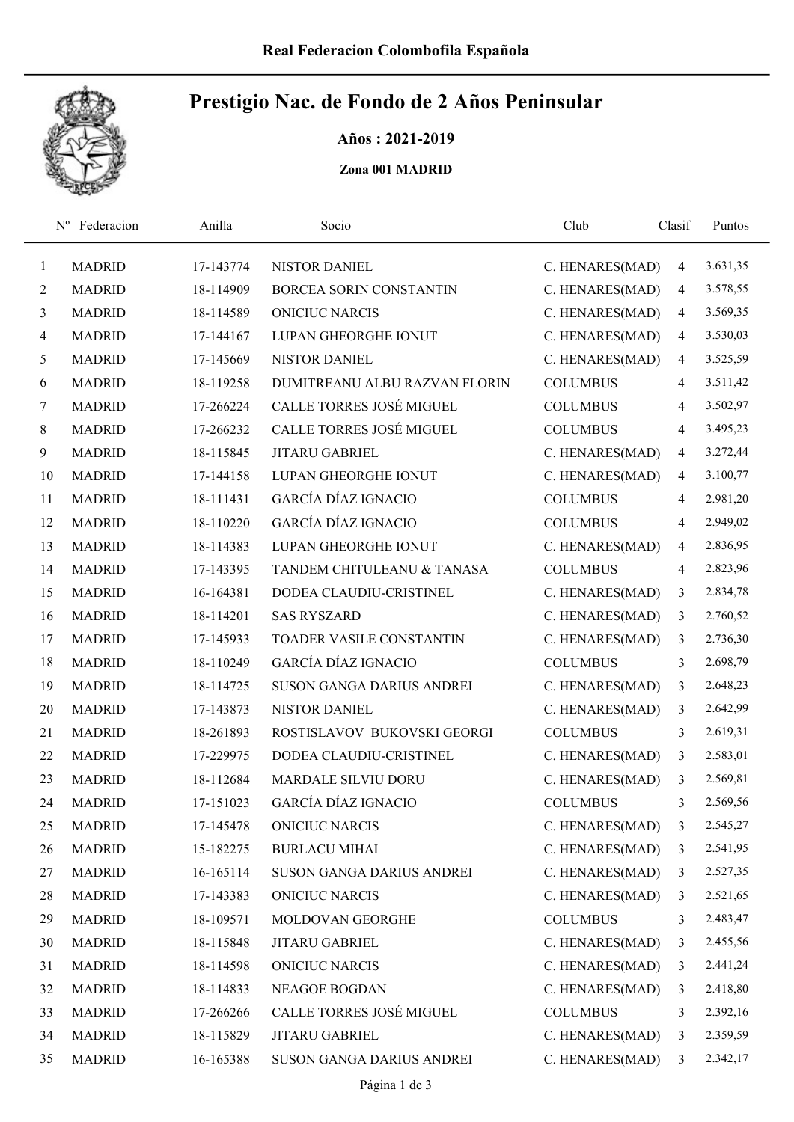

## Prestigio Nac. de Fondo de 2 Años Peninsular

Años : 2021-2019

Zona 001 MADRID

|              | Federacion<br>$N^{\rm o}$ | Anilla    | Socio                         | Club            | Clasif         | Puntos   |
|--------------|---------------------------|-----------|-------------------------------|-----------------|----------------|----------|
| $\mathbf{1}$ | <b>MADRID</b>             | 17-143774 | <b>NISTOR DANIEL</b>          | C. HENARES(MAD) | 4              | 3.631,35 |
| 2            | <b>MADRID</b>             | 18-114909 | BORCEA SORIN CONSTANTIN       | C. HENARES(MAD) | 4              | 3.578,55 |
| 3            | <b>MADRID</b>             | 18-114589 | <b>ONICIUC NARCIS</b>         | C. HENARES(MAD) | 4              | 3.569,35 |
| 4            | <b>MADRID</b>             | 17-144167 | LUPAN GHEORGHE IONUT          | C. HENARES(MAD) | $\overline{4}$ | 3.530,03 |
| 5            | <b>MADRID</b>             | 17-145669 | <b>NISTOR DANIEL</b>          | C. HENARES(MAD) | $\overline{4}$ | 3.525,59 |
| 6            | <b>MADRID</b>             | 18-119258 | DUMITREANU ALBU RAZVAN FLORIN | <b>COLUMBUS</b> | 4              | 3.511,42 |
| 7            | <b>MADRID</b>             | 17-266224 | CALLE TORRES JOSÉ MIGUEL      | <b>COLUMBUS</b> | 4              | 3.502,97 |
| 8            | <b>MADRID</b>             | 17-266232 | CALLE TORRES JOSÉ MIGUEL      | <b>COLUMBUS</b> | 4              | 3.495,23 |
| 9            | <b>MADRID</b>             | 18-115845 | <b>JITARU GABRIEL</b>         | C. HENARES(MAD) | 4              | 3.272,44 |
| 10           | <b>MADRID</b>             | 17-144158 | LUPAN GHEORGHE IONUT          | C. HENARES(MAD) | 4              | 3.100,77 |
| 11           | <b>MADRID</b>             | 18-111431 | <b>GARCÍA DÍAZ IGNACIO</b>    | <b>COLUMBUS</b> | 4              | 2.981,20 |
| 12           | <b>MADRID</b>             | 18-110220 | <b>GARCÍA DÍAZ IGNACIO</b>    | <b>COLUMBUS</b> | 4              | 2.949,02 |
| 13           | <b>MADRID</b>             | 18-114383 | LUPAN GHEORGHE IONUT          | C. HENARES(MAD) | 4              | 2.836,95 |
| 14           | <b>MADRID</b>             | 17-143395 | TANDEM CHITULEANU & TANASA    | <b>COLUMBUS</b> | 4              | 2.823,96 |
| 15           | <b>MADRID</b>             | 16-164381 | DODEA CLAUDIU-CRISTINEL       | C. HENARES(MAD) | 3              | 2.834,78 |
| 16           | <b>MADRID</b>             | 18-114201 | <b>SAS RYSZARD</b>            | C. HENARES(MAD) | 3              | 2.760,52 |
| 17           | <b>MADRID</b>             | 17-145933 | TOADER VASILE CONSTANTIN      | C. HENARES(MAD) | 3              | 2.736,30 |
| 18           | <b>MADRID</b>             | 18-110249 | <b>GARCÍA DÍAZ IGNACIO</b>    | <b>COLUMBUS</b> | 3              | 2.698,79 |
| 19           | <b>MADRID</b>             | 18-114725 | SUSON GANGA DARIUS ANDREI     | C. HENARES(MAD) | 3              | 2.648,23 |
| 20           | <b>MADRID</b>             | 17-143873 | <b>NISTOR DANIEL</b>          | C. HENARES(MAD) | 3              | 2.642,99 |
| 21           | <b>MADRID</b>             | 18-261893 | ROSTISLAVOV BUKOVSKI GEORGI   | <b>COLUMBUS</b> | 3              | 2.619,31 |
| 22           | <b>MADRID</b>             | 17-229975 | DODEA CLAUDIU-CRISTINEL       | C. HENARES(MAD) | 3              | 2.583,01 |
| 23           | <b>MADRID</b>             | 18-112684 | <b>MARDALE SILVIU DORU</b>    | C. HENARES(MAD) | 3              | 2.569,81 |
| 24           | <b>MADRID</b>             | 17-151023 | <b>GARCÍA DÍAZ IGNACIO</b>    | <b>COLUMBUS</b> | 3              | 2.569,56 |
| 25           | <b>MADRID</b>             | 17-145478 | <b>ONICIUC NARCIS</b>         | C. HENARES(MAD) | 3              | 2.545,27 |
| 26           | <b>MADRID</b>             | 15-182275 | <b>BURLACU MIHAI</b>          | C. HENARES(MAD) | 3              | 2.541,95 |
| 27           | <b>MADRID</b>             | 16-165114 | SUSON GANGA DARIUS ANDREI     | C. HENARES(MAD) | 3              | 2.527,35 |
| 28           | <b>MADRID</b>             | 17-143383 | <b>ONICIUC NARCIS</b>         | C. HENARES(MAD) | 3              | 2.521,65 |
| 29           | <b>MADRID</b>             | 18-109571 | MOLDOVAN GEORGHE              | <b>COLUMBUS</b> | 3              | 2.483,47 |
| 30           | <b>MADRID</b>             | 18-115848 | JITARU GABRIEL                | C. HENARES(MAD) | 3              | 2.455,56 |
| 31           | <b>MADRID</b>             | 18-114598 | <b>ONICIUC NARCIS</b>         | C. HENARES(MAD) | 3              | 2.441,24 |
| 32           | <b>MADRID</b>             | 18-114833 | NEAGOE BOGDAN                 | C. HENARES(MAD) | 3              | 2.418,80 |
| 33           | <b>MADRID</b>             | 17-266266 | CALLE TORRES JOSÉ MIGUEL      | <b>COLUMBUS</b> | 3              | 2.392,16 |
| 34           | <b>MADRID</b>             | 18-115829 | JITARU GABRIEL                | C. HENARES(MAD) | 3              | 2.359,59 |
| 35           | <b>MADRID</b>             | 16-165388 | SUSON GANGA DARIUS ANDREI     | C. HENARES(MAD) | 3              | 2.342,17 |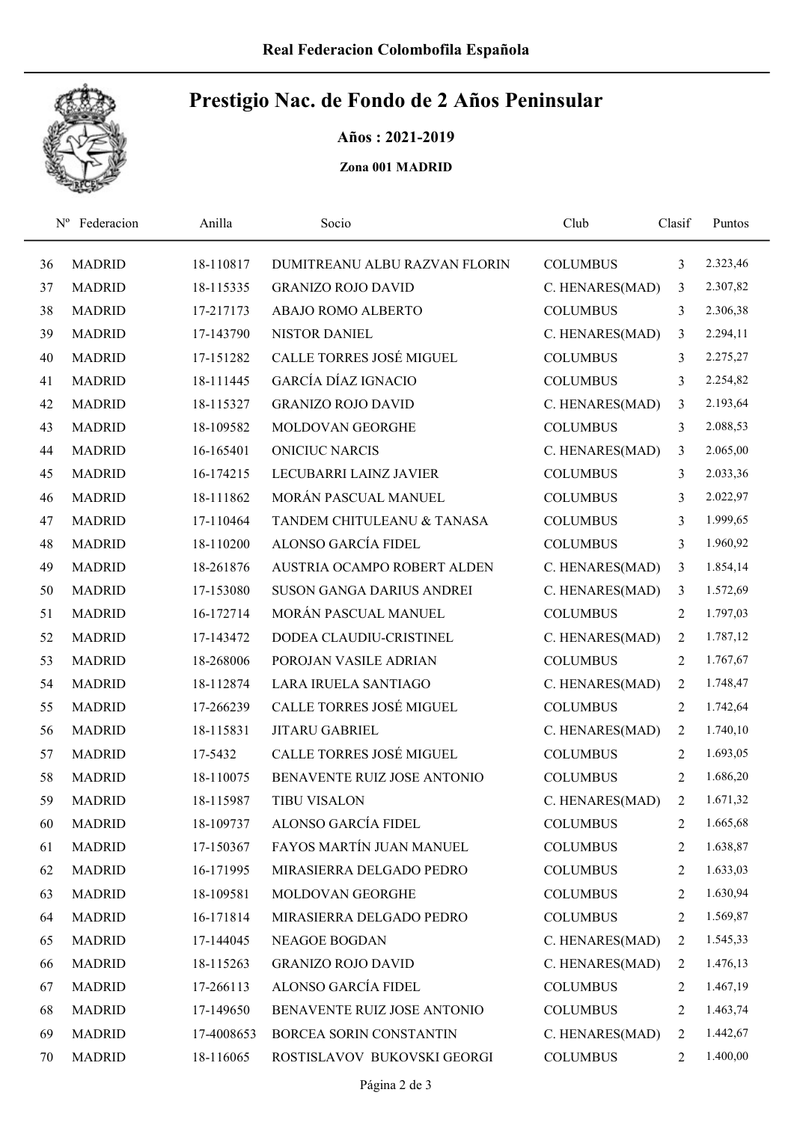

## Prestigio Nac. de Fondo de 2 Años Peninsular

Años : 2021-2019

Zona 001 MADRID

| $N^{\rm o}$ | Federacion    | Anilla     | Socio                            | Club            | Clasif         | Puntos   |  |
|-------------|---------------|------------|----------------------------------|-----------------|----------------|----------|--|
| 36          | <b>MADRID</b> | 18-110817  | DUMITREANU ALBU RAZVAN FLORIN    | <b>COLUMBUS</b> | 3              | 2.323,46 |  |
| 37          | <b>MADRID</b> | 18-115335  | <b>GRANIZO ROJO DAVID</b>        | C. HENARES(MAD) | 3              | 2.307,82 |  |
| 38          | <b>MADRID</b> | 17-217173  | ABAJO ROMO ALBERTO               | <b>COLUMBUS</b> | 3              | 2.306,38 |  |
| 39          | <b>MADRID</b> | 17-143790  | <b>NISTOR DANIEL</b>             | C. HENARES(MAD) | 3              | 2.294,11 |  |
| 40          | <b>MADRID</b> | 17-151282  | CALLE TORRES JOSÉ MIGUEL         | <b>COLUMBUS</b> | 3              | 2.275,27 |  |
| 41          | <b>MADRID</b> | 18-111445  | <b>GARCÍA DÍAZ IGNACIO</b>       | <b>COLUMBUS</b> | 3              | 2.254,82 |  |
| 42          | <b>MADRID</b> | 18-115327  | <b>GRANIZO ROJO DAVID</b>        | C. HENARES(MAD) | 3              | 2.193,64 |  |
| 43          | <b>MADRID</b> | 18-109582  | MOLDOVAN GEORGHE                 | <b>COLUMBUS</b> | 3              | 2.088,53 |  |
| 44          | <b>MADRID</b> | 16-165401  | <b>ONICIUC NARCIS</b>            | C. HENARES(MAD) | 3              | 2.065,00 |  |
| 45          | <b>MADRID</b> | 16-174215  | LECUBARRI LAINZ JAVIER           | <b>COLUMBUS</b> | 3              | 2.033,36 |  |
| 46          | <b>MADRID</b> | 18-111862  | MORÁN PASCUAL MANUEL             | <b>COLUMBUS</b> | 3              | 2.022,97 |  |
| 47          | <b>MADRID</b> | 17-110464  | TANDEM CHITULEANU & TANASA       | <b>COLUMBUS</b> | 3              | 1.999,65 |  |
| 48          | <b>MADRID</b> | 18-110200  | ALONSO GARCÍA FIDEL              | <b>COLUMBUS</b> | 3              | 1.960,92 |  |
| 49          | <b>MADRID</b> | 18-261876  | AUSTRIA OCAMPO ROBERT ALDEN      | C. HENARES(MAD) | 3              | 1.854,14 |  |
| 50          | <b>MADRID</b> | 17-153080  | <b>SUSON GANGA DARIUS ANDREI</b> | C. HENARES(MAD) | 3              | 1.572,69 |  |
| 51          | <b>MADRID</b> | 16-172714  | MORÁN PASCUAL MANUEL             | <b>COLUMBUS</b> | 2              | 1.797,03 |  |
| 52          | <b>MADRID</b> | 17-143472  | DODEA CLAUDIU-CRISTINEL          | C. HENARES(MAD) | 2              | 1.787,12 |  |
| 53          | <b>MADRID</b> | 18-268006  | POROJAN VASILE ADRIAN            | <b>COLUMBUS</b> | $\overline{c}$ | 1.767,67 |  |
| 54          | <b>MADRID</b> | 18-112874  | LARA IRUELA SANTIAGO             | C. HENARES(MAD) | 2              | 1.748,47 |  |
| 55          | <b>MADRID</b> | 17-266239  | CALLE TORRES JOSÉ MIGUEL         | <b>COLUMBUS</b> | $\overline{2}$ | 1.742,64 |  |
| 56          | <b>MADRID</b> | 18-115831  | <b>JITARU GABRIEL</b>            | C. HENARES(MAD) | 2              | 1.740,10 |  |
| 57          | <b>MADRID</b> | 17-5432    | CALLE TORRES JOSÉ MIGUEL         | <b>COLUMBUS</b> | 2              | 1.693,05 |  |
| 58          | <b>MADRID</b> | 18-110075  | BENAVENTE RUIZ JOSE ANTONIO      | <b>COLUMBUS</b> | 2              | 1.686,20 |  |
| 59          | <b>MADRID</b> | 18-115987  | <b>TIBU VISALON</b>              | C. HENARES(MAD) | $\overline{2}$ | 1.671,32 |  |
| 60          | <b>MADRID</b> | 18-109737  | ALONSO GARCÍA FIDEL              | <b>COLUMBUS</b> | 2              | 1.665,68 |  |
| 61          | <b>MADRID</b> | 17-150367  | FAYOS MARTÍN JUAN MANUEL         | <b>COLUMBUS</b> | 2              | 1.638,87 |  |
| 62          | <b>MADRID</b> | 16-171995  | MIRASIERRA DELGADO PEDRO         | <b>COLUMBUS</b> | 2              | 1.633,03 |  |
| 63          | <b>MADRID</b> | 18-109581  | MOLDOVAN GEORGHE                 | <b>COLUMBUS</b> | 2              | 1.630,94 |  |
| 64          | <b>MADRID</b> | 16-171814  | MIRASIERRA DELGADO PEDRO         | <b>COLUMBUS</b> | 2              | 1.569,87 |  |
| 65          | <b>MADRID</b> | 17-144045  | <b>NEAGOE BOGDAN</b>             | C. HENARES(MAD) | 2              | 1.545,33 |  |
| 66          | <b>MADRID</b> | 18-115263  | <b>GRANIZO ROJO DAVID</b>        | C. HENARES(MAD) | 2              | 1.476,13 |  |
| 67          | <b>MADRID</b> | 17-266113  | ALONSO GARCÍA FIDEL              | <b>COLUMBUS</b> | 2              | 1.467,19 |  |
| 68          | <b>MADRID</b> | 17-149650  | BENAVENTE RUIZ JOSE ANTONIO      | <b>COLUMBUS</b> | 2              | 1.463,74 |  |
| 69          | <b>MADRID</b> | 17-4008653 | BORCEA SORIN CONSTANTIN          | C. HENARES(MAD) | 2              | 1.442,67 |  |
| 70          | <b>MADRID</b> | 18-116065  | ROSTISLAVOV BUKOVSKI GEORGI      | <b>COLUMBUS</b> | 2              | 1.400,00 |  |